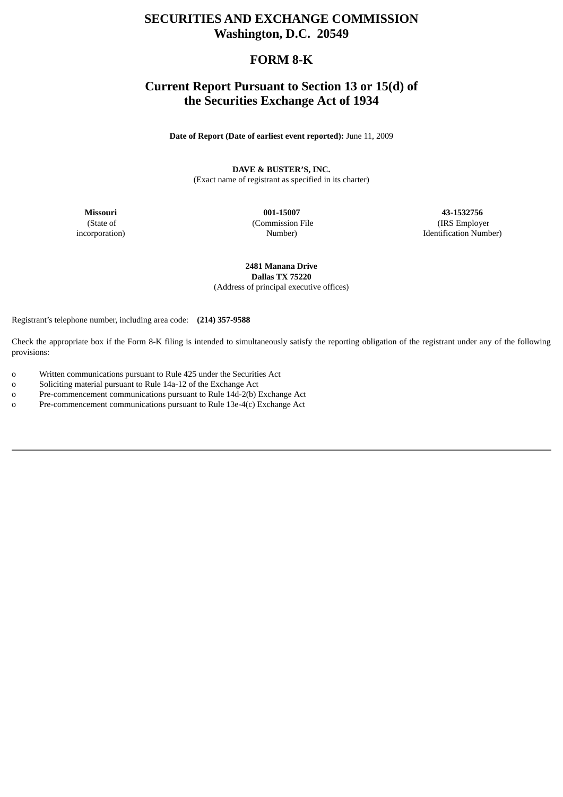# **SECURITIES AND EXCHANGE COMMISSION Washington, D.C. 20549**

# **FORM 8-K**

# **Current Report Pursuant to Section 13 or 15(d) of the Securities Exchange Act of 1934**

**Date of Report (Date of earliest event reported):** June 11, 2009

**DAVE & BUSTER'S, INC.** (Exact name of registrant as specified in its charter)

(State of incorporation) (Commission File Number)

**Missouri 001-15007 43-1532756** (IRS Employer Identification Number)

> **2481 Manana Drive Dallas TX 75220** (Address of principal executive offices)

Registrant's telephone number, including area code: **(214) 357-9588**

Check the appropriate box if the Form 8-K filing is intended to simultaneously satisfy the reporting obligation of the registrant under any of the following provisions:

- o Written communications pursuant to Rule 425 under the Securities Act
- o Soliciting material pursuant to Rule 14a-12 of the Exchange Act
- o Pre-commencement communications pursuant to Rule 14d-2(b) Exchange Act
- o Pre-commencement communications pursuant to Rule 13e-4(c) Exchange Act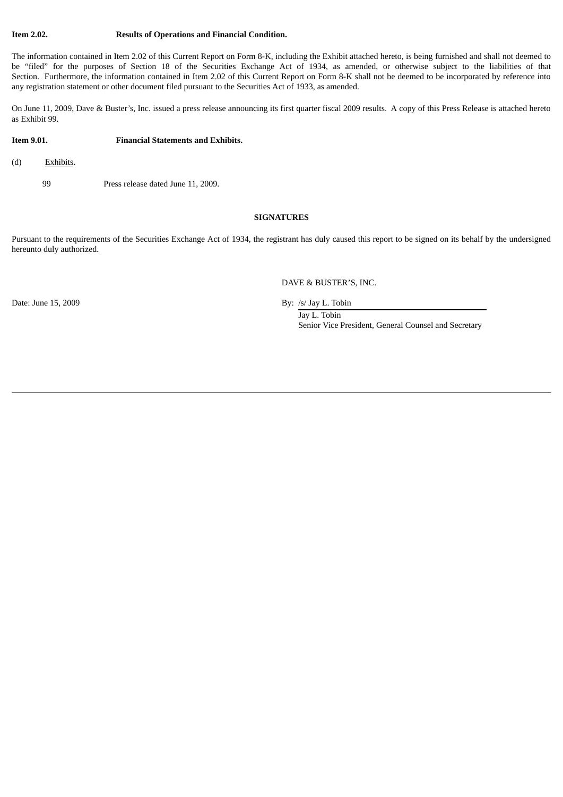#### **Item 2.02. Results of Operations and Financial Condition.**

The information contained in Item 2.02 of this Current Report on Form 8-K, including the Exhibit attached hereto, is being furnished and shall not deemed to be "filed" for the purposes of Section 18 of the Securities Exchange Act of 1934, as amended, or otherwise subject to the liabilities of that Section. Furthermore, the information contained in Item 2.02 of this Current Report on Form 8-K shall not be deemed to be incorporated by reference into any registration statement or other document filed pursuant to the Securities Act of 1933, as amended.

On June 11, 2009, Dave & Buster's, Inc. issued a press release announcing its first quarter fiscal 2009 results. A copy of this Press Release is attached hereto as Exhibit 99.

#### **Item 9.01. Financial Statements and Exhibits.**

(d) Exhibits.

99 Press release dated June 11, 2009.

#### **SIGNATURES**

Pursuant to the requirements of the Securities Exchange Act of 1934, the registrant has duly caused this report to be signed on its behalf by the undersigned hereunto duly authorized.

DAVE & BUSTER'S, INC.

Date: June 15, 2009 By: /s/ Jay L. Tobin

Jay L. Tobin Senior Vice President, General Counsel and Secretary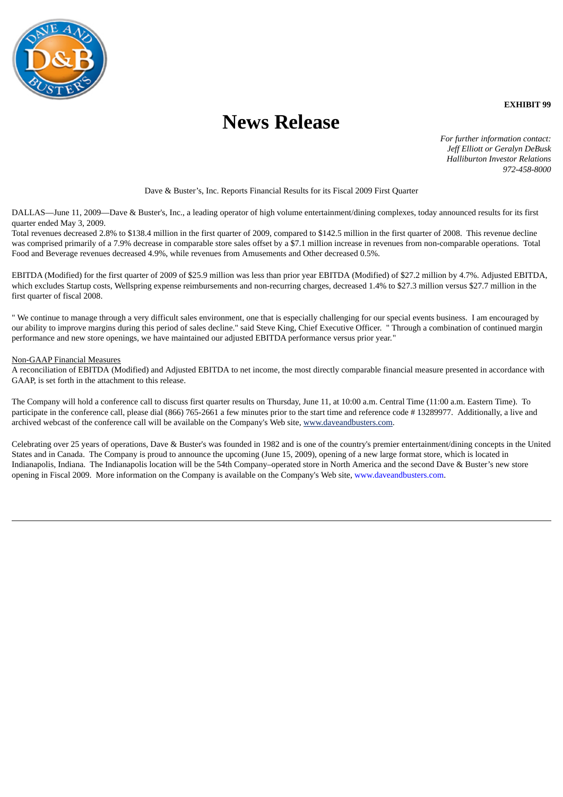

**News Release**

**EXHIBIT 99**

*For further information contact: Jeff Elliott or Geralyn DeBusk Halliburton Investor Relations 972-458-8000*

## Dave & Buster's, Inc. Reports Financial Results for its Fiscal 2009 First Quarter

DALLAS—June 11, 2009—Dave & Buster's, Inc., a leading operator of high volume entertainment/dining complexes, today announced results for its first quarter ended May 3, 2009.

Total revenues decreased 2.8% to \$138.4 million in the first quarter of 2009, compared to \$142.5 million in the first quarter of 2008. This revenue decline was comprised primarily of a 7.9% decrease in comparable store sales offset by a \$7.1 million increase in revenues from non-comparable operations. Total Food and Beverage revenues decreased 4.9%, while revenues from Amusements and Other decreased 0.5%.

EBITDA (Modified) for the first quarter of 2009 of \$25.9 million was less than prior year EBITDA (Modified) of \$27.2 million by 4.7%. Adjusted EBITDA, which excludes Startup costs, Wellspring expense reimbursements and non-recurring charges, decreased 1.4% to \$27.3 million versus \$27.7 million in the first quarter of fiscal 2008.

" We continue to manage through a very difficult sales environment, one that is especially challenging for our special events business. I am encouraged by our ability to improve margins during this period of sales decline." said Steve King, Chief Executive Officer. " Through a combination of continued margin performance and new store openings, we have maintained our adjusted EBITDA performance versus prior year."

### Non-GAAP Financial Measures

A reconciliation of EBITDA (Modified) and Adjusted EBITDA to net income, the most directly comparable financial measure presented in accordance with GAAP, is set forth in the attachment to this release.

The Company will hold a conference call to discuss first quarter results on Thursday, June 11, at 10:00 a.m. Central Time (11:00 a.m. Eastern Time). To participate in the conference call, please dial (866) 765-2661 a few minutes prior to the start time and reference code # 13289977. Additionally, a live and archived webcast of the conference call will be available on the Company's Web site, www.daveandbusters.com.

Celebrating over 25 years of operations, Dave & Buster's was founded in 1982 and is one of the country's premier entertainment/dining concepts in the United States and in Canada. The Company is proud to announce the upcoming (June 15, 2009), opening of a new large format store, which is located in Indianapolis, Indiana. The Indianapolis location will be the 54th Company–operated store in North America and the second Dave & Buster's new store opening in Fiscal 2009. More information on the Company is available on the Company's Web site, www.daveandbusters.com.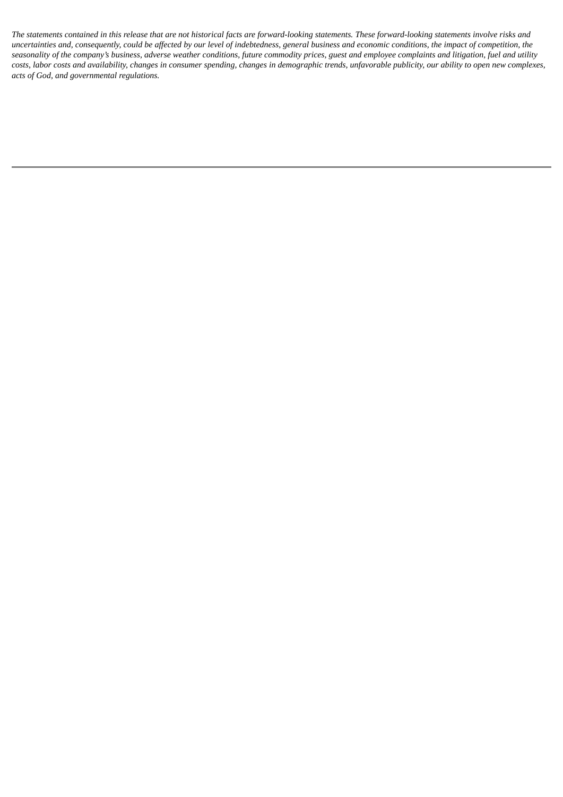The statements contained in this release that are not historical facts are forward-looking statements. These forward-looking statements involve risks and uncertainties and, consequently, could be affected by our level of indebtedness, general business and economic conditions, the impact of competition, the seasonality of the company's business, adverse weather conditions, future commodity prices, guest and employee complaints and litigation, fuel and utility costs, labor costs and availability, changes in consumer spending, changes in demographic trends, unfavorable publicity, our ability to open new complexes, *acts of God, and governmental regulations.*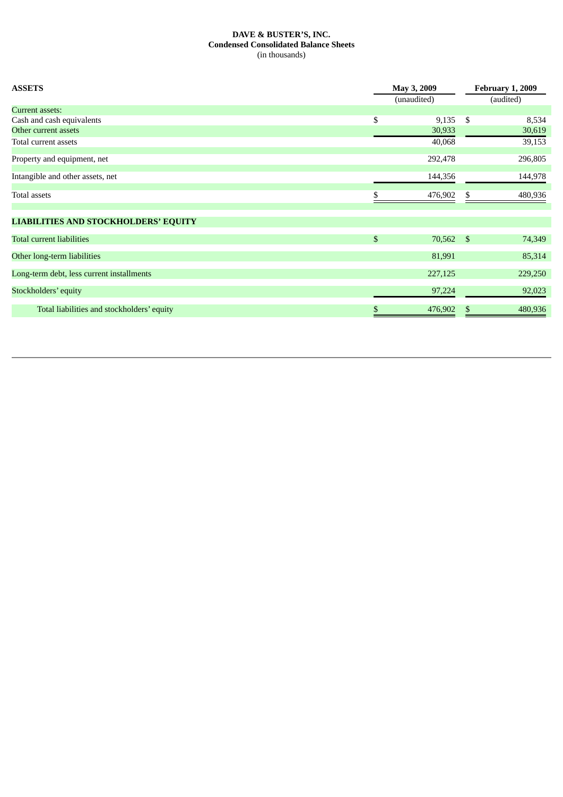## **DAVE & BUSTER'S, INC. Condensed Consolidated Balance Sheets** (in thousands)

| <b>ASSETS</b>                               | May 3, 2009<br>(unaudited) |         |              | <b>February 1, 2009</b><br>(audited) |  |
|---------------------------------------------|----------------------------|---------|--------------|--------------------------------------|--|
| <b>Current assets:</b>                      |                            |         |              |                                      |  |
| Cash and cash equivalents                   | \$                         | 9,135   | \$           | 8,534                                |  |
| Other current assets                        |                            | 30,933  |              | 30,619                               |  |
| Total current assets                        |                            | 40,068  |              | 39,153                               |  |
| Property and equipment, net                 |                            | 292,478 |              | 296,805                              |  |
| Intangible and other assets, net            |                            | 144,356 |              | 144,978                              |  |
| Total assets                                | S                          | 476,902 | \$           | 480,936                              |  |
| <b>LIABILITIES AND STOCKHOLDERS' EQUITY</b> |                            |         |              |                                      |  |
| <b>Total current liabilities</b>            | $\mathbb{S}$               | 70,562  | $\mathbb{S}$ | 74,349                               |  |
| Other long-term liabilities                 |                            | 81,991  |              | 85,314                               |  |
| Long-term debt, less current installments   |                            | 227,125 |              | 229,250                              |  |
| Stockholders' equity                        |                            | 97,224  |              | 92,023                               |  |
| Total liabilities and stockholders' equity  | \$                         | 476,902 | \$           | 480,936                              |  |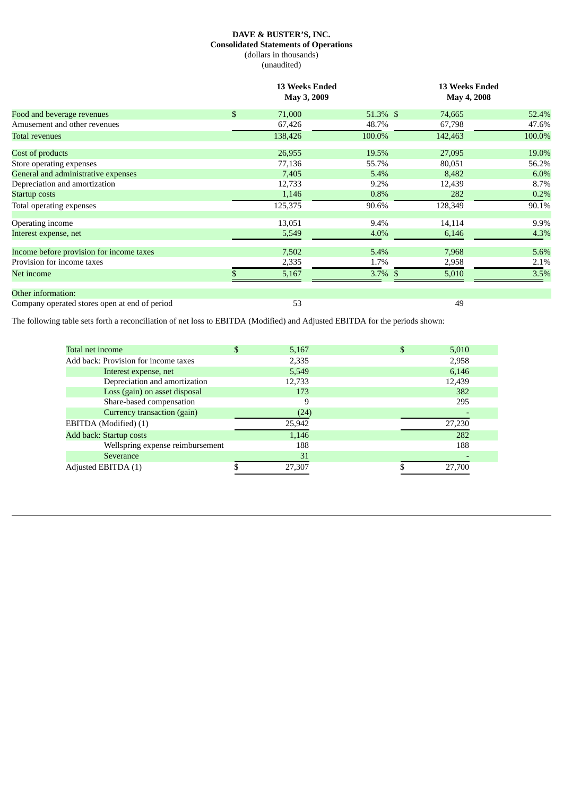## **DAVE & BUSTER'S, INC. Consolidated Statements of Operations** (dollars in thousands) (unaudited)

|                                               |              | <b>13 Weeks Ended</b><br>May 3, 2009 |            | <b>13 Weeks Ended</b><br>May 4, 2008 |        |  |
|-----------------------------------------------|--------------|--------------------------------------|------------|--------------------------------------|--------|--|
| Food and beverage revenues                    | $\mathbb{S}$ | 71,000                               | 51.3% \$   | 74,665                               | 52.4%  |  |
| Amusement and other revenues                  |              | 67,426                               | 48.7%      | 67,798                               | 47.6%  |  |
| <b>Total revenues</b>                         |              | 138,426                              | 100.0%     | 142,463                              | 100.0% |  |
| Cost of products                              |              | 26,955                               | 19.5%      | 27,095                               | 19.0%  |  |
| Store operating expenses                      |              | 77,136                               | 55.7%      | 80,051                               | 56.2%  |  |
| General and administrative expenses           |              | 7,405                                | 5.4%       | 8,482                                | 6.0%   |  |
| Depreciation and amortization                 |              | 12,733                               | 9.2%       | 12,439                               | 8.7%   |  |
| <b>Startup costs</b>                          |              | 1,146                                | 0.8%       | 282                                  | 0.2%   |  |
| Total operating expenses                      |              | 125,375                              | 90.6%      | 128,349                              | 90.1%  |  |
| Operating income                              |              | 13,051                               | 9.4%       | 14,114                               | 9.9%   |  |
| Interest expense, net                         |              | 5,549                                | 4.0%       | 6,146                                | 4.3%   |  |
| Income before provision for income taxes      |              | 7,502                                | 5.4%       | 7,968                                | 5.6%   |  |
| Provision for income taxes                    |              | 2,335                                | 1.7%       | 2,958                                | 2.1%   |  |
| Net income                                    |              | 5,167                                | $3.7\%$ \$ | 5,010                                | 3.5%   |  |
| Other information:                            |              |                                      |            |                                      |        |  |
| Company operated stores open at end of period |              | 53                                   |            | 49                                   |        |  |

The following table sets forth a reconciliation of net loss to EBITDA (Modified) and Adjusted EBITDA for the periods shown:

| Total net income                     | \$<br>5,167 | 5,010  |
|--------------------------------------|-------------|--------|
| Add back: Provision for income taxes | 2,335       | 2,958  |
| Interest expense, net                | 5,549       | 6,146  |
| Depreciation and amortization        | 12,733      | 12,439 |
| Loss (gain) on asset disposal        | 173         | 382    |
| Share-based compensation             | 9           | 295    |
| Currency transaction (gain)          | (24)        |        |
| EBITDA (Modified) (1)                | 25,942      | 27,230 |
| Add back: Startup costs              | 1,146       | 282    |
| Wellspring expense reimbursement     | 188         | 188    |
| Severance                            | 31          |        |
| Adjusted EBITDA (1)                  | 27,307      | 27,700 |